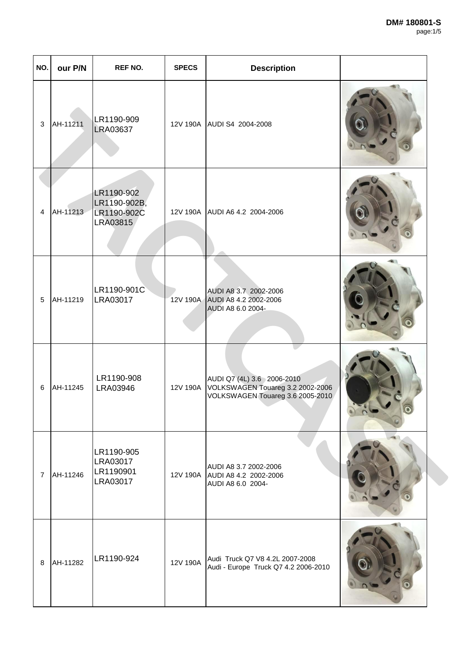| NO.            | our P/N  | REF NO.                                               | <b>SPECS</b> | <b>Description</b>                                                                                 |  |
|----------------|----------|-------------------------------------------------------|--------------|----------------------------------------------------------------------------------------------------|--|
| $\mathbf{3}$   | AH-11211 | LR1190-909<br><b>LRA03637</b>                         |              | 12V 190A AUDI S4 2004-2008                                                                         |  |
| $\overline{4}$ | AH-11213 | LR1190-902<br>LR1190-902B,<br>LR1190-902C<br>LRA03815 |              | 12V 190A AUDI A6 4.2 2004-2006                                                                     |  |
| 5              | AH-11219 | LR1190-901C<br>LRA03017                               |              | AUDI A8 3.7 2002-2006<br>12V 190A AUDI A8 4.2 2002-2006<br>AUDI A8 6.0 2004-                       |  |
| 6              | AH-11245 | LR1190-908<br>LRA03946                                | 12V 190A     | AUDI Q7 (4L) 3.6 2006-2010<br>VOLKSWAGEN Touareg 3.2 2002-2006<br>VOLKSWAGEN Touareg 3.6 2005-2010 |  |
| $\overline{7}$ | AH-11246 | LR1190-905<br>LRA03017<br>LR1190901<br>LRA03017       |              | AUDI A8 3.7 2002-2006<br>12V 190A AUDI A8 4.2 2002-2006<br>AUDI A8 6.0 2004-                       |  |
| 8              | AH-11282 | LR1190-924                                            | 12V 190A     | Audi Truck Q7 V8 4.2L 2007-2008<br>Audi - Europe Truck Q7 4.2 2006-2010                            |  |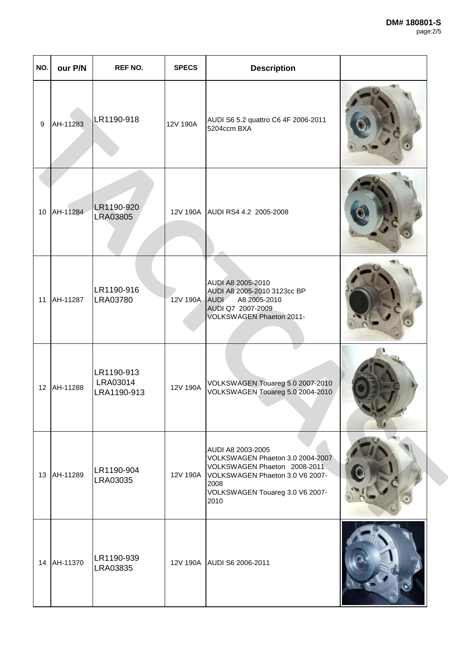| NO. | our P/N  | <b>REF NO.</b>                        | <b>SPECS</b>  | <b>Description</b>                                                                                                                                                                   |  |
|-----|----------|---------------------------------------|---------------|--------------------------------------------------------------------------------------------------------------------------------------------------------------------------------------|--|
| 9   | AH-11283 | LR1190-918                            | 12V 190A      | AUDI S6 5.2 quattro C6 4F 2006-2011<br>5204ccm BXA                                                                                                                                   |  |
| 10  | AH-11284 | LR1190-920<br><b>LRA03805</b>         |               | 12V 190A AUDI RS4 4.2 2005-2008                                                                                                                                                      |  |
| 11  | AH-11287 | LR1190-916<br>LRA03780                | 12V 190A AUDI | AUDI A8 2005-2010<br>AUDI A8 2005-2010 3123cc BP<br>A8 2005-2010<br>AUDI Q7 2007-2009<br>VOLKSWAGEN Phaeton 2011-                                                                    |  |
| 12  | AH-11288 | LR1190-913<br>LRA03014<br>LRA1190-913 | 12V 190A      | VOLKSWAGEN Touareg 5.0 2007-2010<br>VOLKSWAGEN Touareg 5.0 2004-2010                                                                                                                 |  |
| 13  | AH-11289 | LR1190-904<br>LRA03035                |               | AUDI A8 2003-2005<br>VOLKSWAGEN Phaeton 3.0 2004-2007<br>VOLKSWAGEN Phaeton 2008-2011<br>12V 190A VOLKSWAGEN Phaeton 3.0 V6 2007-<br>2008<br>VOLKSWAGEN Touareg 3.0 V6 2007-<br>2010 |  |
| 14  | AH-11370 | LR1190-939<br>LRA03835                |               | 12V 190A AUDI S6 2006-2011                                                                                                                                                           |  |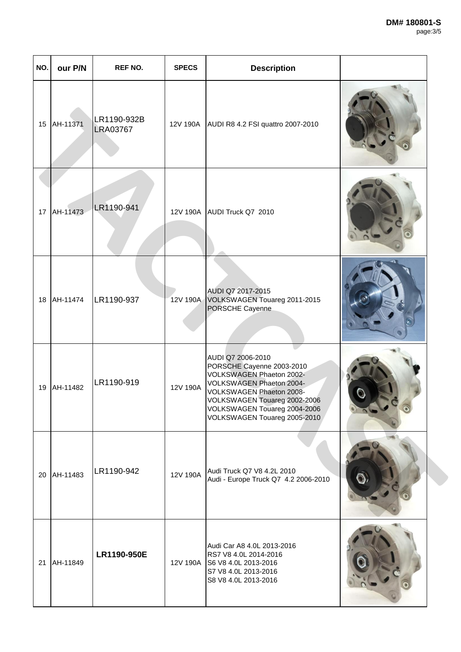| NO. | our P/N  | <b>REF NO.</b>                 | <b>SPECS</b> | <b>Description</b>                                                                                                                                                                                                                 |  |
|-----|----------|--------------------------------|--------------|------------------------------------------------------------------------------------------------------------------------------------------------------------------------------------------------------------------------------------|--|
| 15  | AH-11371 | LR1190-932B<br><b>LRA03767</b> |              | 12V 190A AUDI R8 4.2 FSI quattro 2007-2010                                                                                                                                                                                         |  |
| 17  | AH-11473 | LR1190-941                     |              | 12V 190A AUDI Truck Q7 2010                                                                                                                                                                                                        |  |
| 18  | AH-11474 | LR1190-937                     |              | AUDI Q7 2017-2015<br>12V 190A VOLKSWAGEN Touareg 2011-2015<br>PORSCHE Cayenne                                                                                                                                                      |  |
| 19  | AH-11482 | LR1190-919                     | 12V 190A     | AUDI Q7 2006-2010<br>PORSCHE Cayenne 2003-2010<br>VOLKSWAGEN Phaeton 2002-<br>VOLKSWAGEN Phaeton 2004-<br>VOLKSWAGEN Phaeton 2008-<br>VOLKSWAGEN Touareg 2002-2006<br>VOLKSWAGEN Touareg 2004-2006<br>VOLKSWAGEN Touareg 2005-2010 |  |
| 20  | AH-11483 | LR1190-942                     | 12V 190A     | Audi Truck Q7 V8 4.2L 2010<br>Audi - Europe Truck Q7 4.2 2006-2010                                                                                                                                                                 |  |
| 21  | AH-11849 | LR1190-950E                    |              | Audi Car A8 4.0L 2013-2016<br>RS7 V8 4.0L 2014-2016<br>12V 190A S6 V8 4.0L 2013-2016<br>S7 V8 4.0L 2013-2016<br>S8 V8 4.0L 2013-2016                                                                                               |  |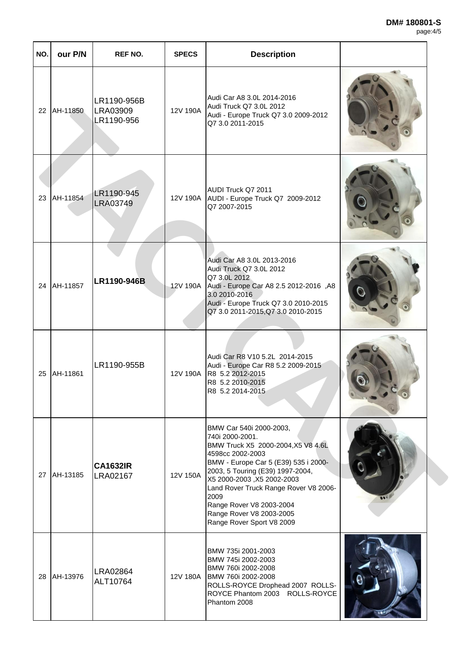## **DM# 180801-S**

| page: 4/5 |
|-----------|
|-----------|

| NO. | our P/N  | <b>REF NO.</b>                        | <b>SPECS</b> | <b>Description</b>                                                                                                                                                                                                                                                                                                                                   |  |
|-----|----------|---------------------------------------|--------------|------------------------------------------------------------------------------------------------------------------------------------------------------------------------------------------------------------------------------------------------------------------------------------------------------------------------------------------------------|--|
| 22  | AH-11850 | LR1190-956B<br>LRA03909<br>LR1190-956 | 12V 190A     | Audi Car A8 3.0L 2014-2016<br>Audi Truck Q7 3.0L 2012<br>Audi - Europe Truck Q7 3.0 2009-2012<br>Q7 3.0 2011-2015                                                                                                                                                                                                                                    |  |
| 23  | AH-11854 | LR1190-945<br><b>LRA03749</b>         |              | AUDI Truck Q7 2011<br>12V 190A AUDI - Europe Truck Q7 2009-2012<br>Q7 2007-2015                                                                                                                                                                                                                                                                      |  |
| 24  | AH-11857 | LR1190-946B                           | 12V 190A     | Audi Car A8 3.0L 2013-2016<br>Audi Truck Q7 3.0L 2012<br>Q7 3.0L 2012<br>Audi - Europe Car A8 2.5 2012-2016, A8<br>3.0 2010-2016<br>Audi - Europe Truck Q7 3.0 2010-2015<br>Q7 3.0 2011-2015, Q7 3.0 2010-2015                                                                                                                                       |  |
| 25  | AH-11861 | LR1190-955B                           |              | Audi Car R8 V10 5.2L 2014-2015<br>Audi - Europe Car R8 5.2 2009-2015<br>12V 190A   R8 5.2 2012-2015<br>R8 5.2 2010-2015<br>R8 5.2 2014-2015                                                                                                                                                                                                          |  |
| 27  | AH-13185 | <b>CA1632IR</b><br>LRA02167           | 12V 150A     | BMW Car 540i 2000-2003,<br>740i 2000-2001.<br>BMW Truck X5 2000-2004, X5 V8 4.6L<br>4598cc 2002-2003<br>BMW - Europe Car 5 (E39) 535 i 2000-<br>2003, 5 Touring (E39) 1997-2004,<br>X5 2000-2003, X5 2002-2003<br>Land Rover Truck Range Rover V8 2006-<br>2009<br>Range Rover V8 2003-2004<br>Range Rover V8 2003-2005<br>Range Rover Sport V8 2009 |  |
| 28  | AH-13976 | <b>LRA02864</b><br>ALT10764           | 12V 180A     | BMW 735i 2001-2003<br>BMW 745i 2002-2003<br>BMW 760i 2002-2008<br>BMW 760i 2002-2008<br>ROLLS-ROYCE Drophead 2007 ROLLS-<br>ROYCE Phantom 2003 ROLLS-ROYCE<br>Phantom 2008                                                                                                                                                                           |  |